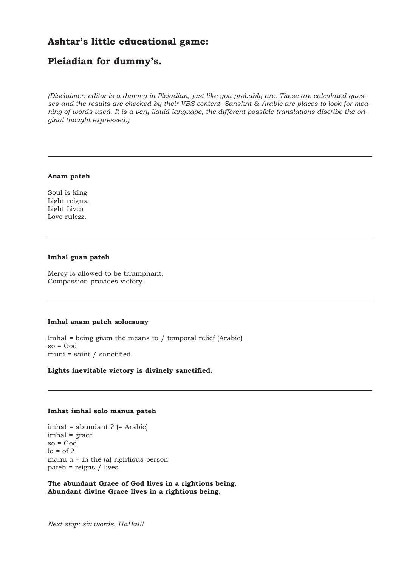# **Ashtar's little educational game:**

# **Pleiadian for dummy's.**

*(Disclaimer: editor is a dummy in Pleiadian, just like you probably are. These are calculated guesses and the results are checked by their VBS content. Sanskrit & Arabic are places to look for meaning of words used. It is a very liquid language, the different possible translations discribe the original thought expressed.)*

# **Anam pateh**

Soul is king Light reigns. Light Lives Love rulezz.

# **Imhal guan pateh**

Mercy is allowed to be triumphant. Compassion provides victory.

# **Imhal anam pateh solomuny**

Imhal = being given the means to / temporal relief (Arabic)  $so = God$ muni = saint / sanctified

# **Lights inevitable victory is divinely sanctified.**

#### **Imhat imhal solo manua pateh**

imhat = abundant ? (= Arabic) imhal = grace so = God  $\log$  = of ? manu  $a =$  in the (a) rightious person pateh = reigns / lives

**The abundant Grace of God lives in a rightious being. Abundant divine Grace lives in a rightious being.**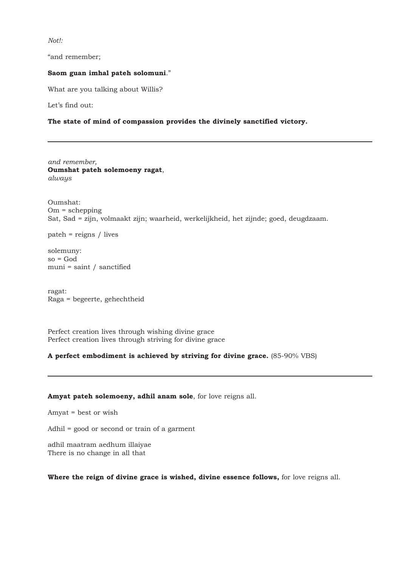*Not!:*

"and remember;

#### **Saom guan imhal pateh solomuni**."

What are you talking about Willis?

Let's find out:

# **The state of mind of compassion provides the divinely sanctified victory.**

*and remember,* **Oumshat pateh solemoeny ragat**, *always* 

Oumshat:  $Om = \schepping$ Sat, Sad = zijn, volmaakt zijn; waarheid, werkelijkheid, het zijnde; goed, deugdzaam.

pateh = reigns / lives

solemuny:  $so = God$ muni = saint / sanctified

ragat: Raga = begeerte, gehechtheid

Perfect creation lives through wishing divine grace Perfect creation lives through striving for divine grace

# **A perfect embodiment is achieved by striving for divine grace.** (85-90% VBS)

# **Amyat pateh solemoeny, adhil anam sole**, for love reigns all.

Amyat = best or wish

Adhil = good or second or train of a garment

adhil maatram aedhum illaiyae There is no change in all that

# **Where the reign of divine grace is wished, divine essence follows,** for love reigns all.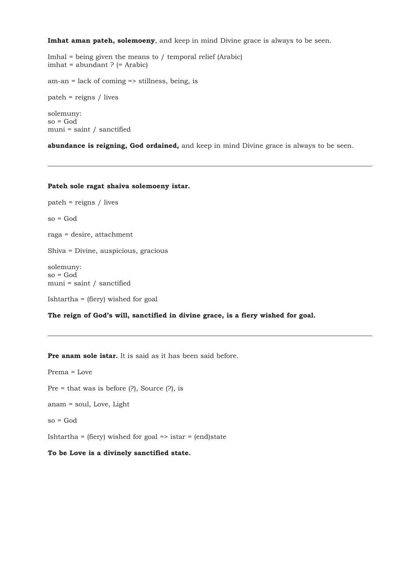**Imhat aman pateh, solemoeny**, and keep in mind Divine grace is always to be seen.

Imhal = being given the means to / temporal relief (Arabic) imhat = abundant ? (= Arabic)

am-an = lack of coming => stillness, being, is

pateh = reigns / lives

solemuny:  $so = God$ muni = saint / sanctified

**abundance is reigning, God ordained,** and keep in mind Divine grace is always to be seen.

#### **Pateh sole ragat shaiva solemoeny istar.**

pateh = reigns / lives so = God raga = desire, attachment Shiva = Divine, auspicious, gracious solemuny: so = God muni = saint / sanctified

Ishtartha = (fiery) wished for goal

**The reign of God's will, sanctified in divine grace, is a fiery wished for goal.**

**Pre anam sole istar.** It is said as it has been said before.

Prema = Love

Pre = that was is before (?), Source (?), is

anam = soul, Love, Light

so = God

Ishtartha = (fiery) wished for goal => istar = (end)state

**To be Love is a divinely sanctified state.**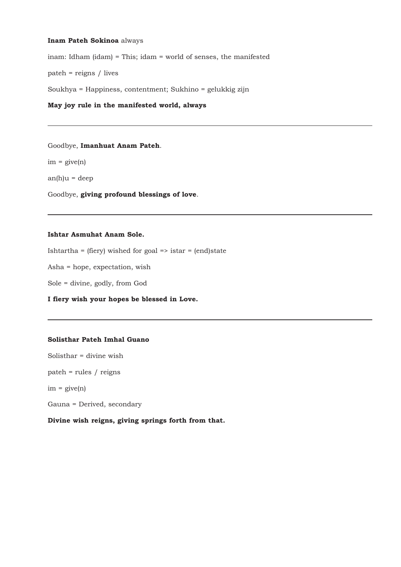#### **Inam Pateh Sokinoa** always

inam: Idham (idam) = This; idam = world of senses, the manifested

pateh = reigns / lives

Soukhya = Happiness, contentment; Sukhino = gelukkig zijn

# **May joy rule in the manifested world, always**

## Goodbye, **Imanhuat Anam Pateh**.

 $im = give(n)$ 

 $an(h)u = deep$ 

Goodbye, **giving profound blessings of love**.

#### **Ishtar Asmuhat Anam Sole.**

Ishtartha = (fiery) wished for goal => istar = (end)state

Asha = hope, expectation, wish

Sole = divine, godly, from God

**I fiery wish your hopes be blessed in Love.**

# **Solisthar Pateh Imhal Guano**

Solisthar = divine wish

pateh = rules / reigns

 $im = give(n)$ 

Gauna = Derived, secondary

**Divine wish reigns, giving springs forth from that.**